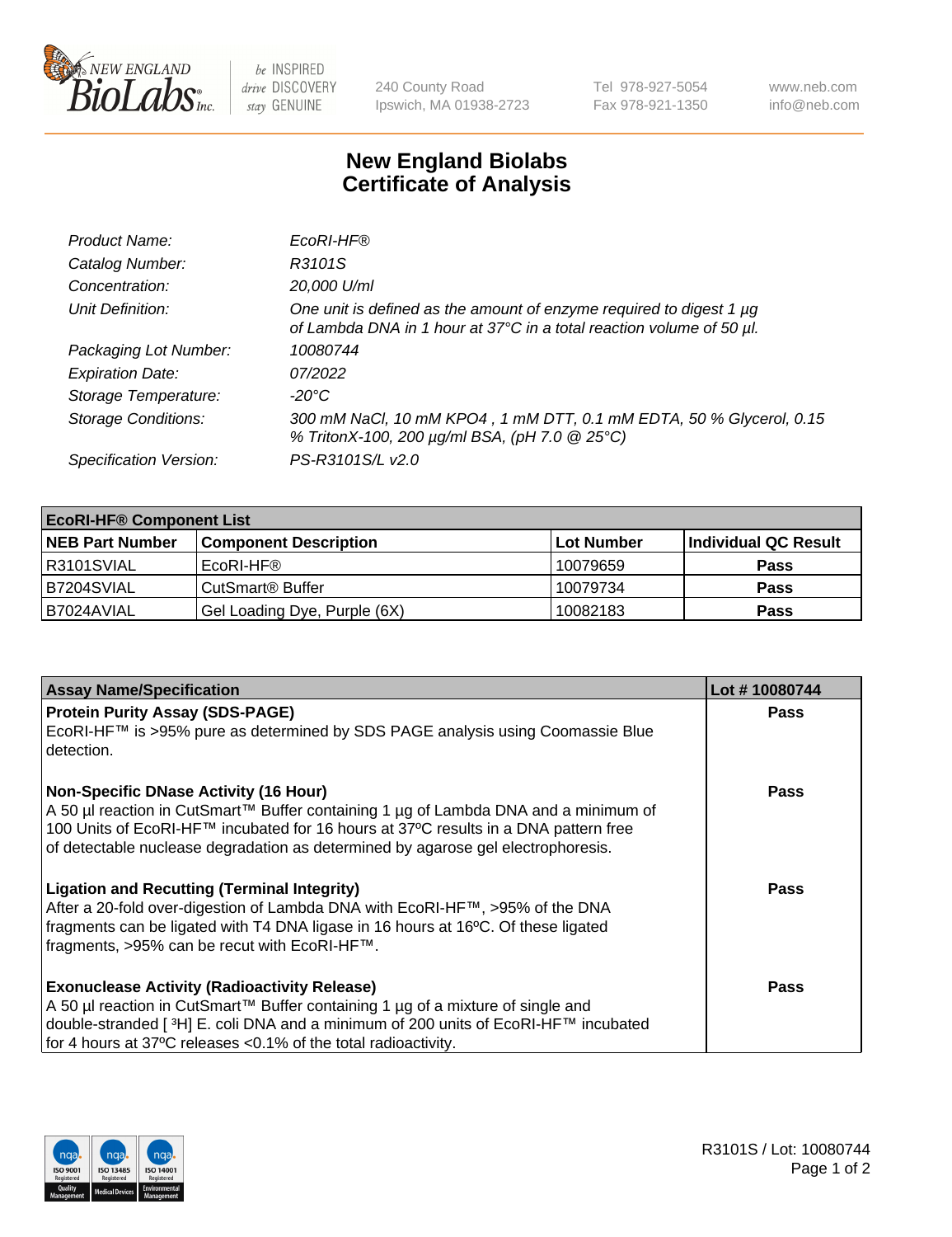

 $be$  INSPIRED drive DISCOVERY stay GENUINE

240 County Road Ipswich, MA 01938-2723 Tel 978-927-5054 Fax 978-921-1350 www.neb.com info@neb.com

## **New England Biolabs Certificate of Analysis**

| Product Name:              | EcoRI-HF®                                                                                                                                   |
|----------------------------|---------------------------------------------------------------------------------------------------------------------------------------------|
| Catalog Number:            | R3101S                                                                                                                                      |
| Concentration:             | 20,000 U/ml                                                                                                                                 |
| Unit Definition:           | One unit is defined as the amount of enzyme required to digest 1 µg<br>of Lambda DNA in 1 hour at 37°C in a total reaction volume of 50 µl. |
| Packaging Lot Number:      | 10080744                                                                                                                                    |
| <b>Expiration Date:</b>    | 07/2022                                                                                                                                     |
| Storage Temperature:       | -20°C                                                                                                                                       |
| <b>Storage Conditions:</b> | 300 mM NaCl, 10 mM KPO4, 1 mM DTT, 0.1 mM EDTA, 50 % Glycerol, 0.15<br>% TritonX-100, 200 µg/ml BSA, (pH 7.0 @ 25°C)                        |
| Specification Version:     | PS-R3101S/L v2.0                                                                                                                            |

| <b>EcoRI-HF® Component List</b> |                              |            |                      |  |  |
|---------------------------------|------------------------------|------------|----------------------|--|--|
| <b>NEB Part Number</b>          | <b>Component Description</b> | Lot Number | Individual QC Result |  |  |
| R3101SVIAL                      | EcoRI-HF®                    | 10079659   | <b>Pass</b>          |  |  |
| B7204SVIAL                      | CutSmart® Buffer             | 10079734   | <b>Pass</b>          |  |  |
| I B7024AVIAL                    | Gel Loading Dye, Purple (6X) | 10082183   | <b>Pass</b>          |  |  |

| <b>Assay Name/Specification</b>                                                                                                                                                                                                                                | Lot #10080744 |
|----------------------------------------------------------------------------------------------------------------------------------------------------------------------------------------------------------------------------------------------------------------|---------------|
| <b>Protein Purity Assay (SDS-PAGE)</b>                                                                                                                                                                                                                         | <b>Pass</b>   |
| EcoRI-HF™ is >95% pure as determined by SDS PAGE analysis using Coomassie Blue<br>detection.                                                                                                                                                                   |               |
| <b>Non-Specific DNase Activity (16 Hour)</b>                                                                                                                                                                                                                   | Pass          |
| A 50 µl reaction in CutSmart™ Buffer containing 1 µg of Lambda DNA and a minimum of<br>100 Units of EcoRI-HF™ incubated for 16 hours at 37°C results in a DNA pattern free<br>of detectable nuclease degradation as determined by agarose gel electrophoresis. |               |
| <b>Ligation and Recutting (Terminal Integrity)</b>                                                                                                                                                                                                             | Pass          |
| After a 20-fold over-digestion of Lambda DNA with EcoRI-HF™, >95% of the DNA                                                                                                                                                                                   |               |
| fragments can be ligated with T4 DNA ligase in 16 hours at 16°C. Of these ligated<br>fragments, >95% can be recut with EcoRI-HF™.                                                                                                                              |               |
|                                                                                                                                                                                                                                                                |               |
| <b>Exonuclease Activity (Radioactivity Release)</b>                                                                                                                                                                                                            | Pass          |
| A 50 µl reaction in CutSmart™ Buffer containing 1 µg of a mixture of single and                                                                                                                                                                                |               |
| double-stranded [ <sup>3</sup> H] E. coli DNA and a minimum of 200 units of EcoRI-HF™ incubated                                                                                                                                                                |               |
| for 4 hours at 37°C releases <0.1% of the total radioactivity.                                                                                                                                                                                                 |               |